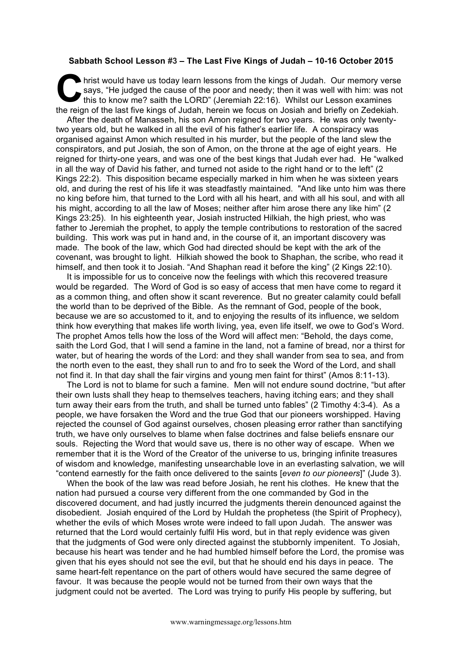## **Sabbath School Lesson #3 – The Last Five Kings of Judah – 10-16 October 2015**

hrist would have us today learn lessons from the kings of Judah. Our memory verse says, "He judged the cause of the poor and needy; then it was well with him: was not this to know me? saith the LORD" (Jeremiah 22:16). Whilst our Lesson examines the reign of the last five kings of Judah, herein we focus on Josiah and briefly on Zedekiah. **C** hris

After the death of Manasseh, his son Amon reigned for two years. He was only twentytwo years old, but he walked in all the evil of his father's earlier life. A conspiracy was organised against Amon which resulted in his murder, but the people of the land slew the conspirators, and put Josiah, the son of Amon, on the throne at the age of eight years. He reigned for thirty-one years, and was one of the best kings that Judah ever had. He "walked in all the way of David his father, and turned not aside to the right hand or to the left" (2 Kings 22:2). This disposition became especially marked in him when he was sixteen years old, and during the rest of his life it was steadfastly maintained. "And like unto him was there no king before him, that turned to the Lord with all his heart, and with all his soul, and with all his might, according to all the law of Moses; neither after him arose there any like him" (2 Kings 23:25). In his eighteenth year, Josiah instructed Hilkiah, the high priest, who was father to Jeremiah the prophet, to apply the temple contributions to restoration of the sacred building. This work was put in hand and, in the course of it, an important discovery was made. The book of the law, which God had directed should be kept with the ark of the covenant, was brought to light. Hilkiah showed the book to Shaphan, the scribe, who read it himself, and then took it to Josiah. "And Shaphan read it before the king" (2 Kings 22:10).

It is impossible for us to conceive now the feelings with which this recovered treasure would be regarded. The Word of God is so easy of access that men have come to regard it as a common thing, and often show it scant reverence. But no greater calamity could befall the world than to be deprived of the Bible. As the remnant of God, people of the book, because we are so accustomed to it, and to enjoying the results of its influence, we seldom think how everything that makes life worth living, yea, even life itself, we owe to God's Word. The prophet Amos tells how the loss of the Word will affect men: "Behold, the days come, saith the Lord God, that I will send a famine in the land, not a famine of bread, nor a thirst for water, but of hearing the words of the Lord: and they shall wander from sea to sea, and from the north even to the east, they shall run to and fro to seek the Word of the Lord, and shall not find it. In that day shall the fair virgins and young men faint for thirst" (Amos 8:11-13).

The Lord is not to blame for such a famine. Men will not endure sound doctrine, "but after their own lusts shall they heap to themselves teachers, having itching ears; and they shall turn away their ears from the truth, and shall be turned unto fables" (2 Timothy 4:3-4). As a people, we have forsaken the Word and the true God that our pioneers worshipped. Having rejected the counsel of God against ourselves, chosen pleasing error rather than sanctifying truth, we have only ourselves to blame when false doctrines and false beliefs ensnare our souls. Rejecting the Word that would save us, there is no other way of escape. When we remember that it is the Word of the Creator of the universe to us, bringing infinite treasures of wisdom and knowledge, manifesting unsearchable love in an everlasting salvation, we will "contend earnestly for the faith once delivered to the saints [*even to our pioneers*]" (Jude 3).

When the book of the law was read before Josiah, he rent his clothes. He knew that the nation had pursued a course very different from the one commanded by God in the discovered document, and had justly incurred the judgments therein denounced against the disobedient. Josiah enquired of the Lord by Huldah the prophetess (the Spirit of Prophecy), whether the evils of which Moses wrote were indeed to fall upon Judah. The answer was returned that the Lord would certainly fulfil His word, but in that reply evidence was given that the judgments of God were only directed against the stubbornly impenitent. To Josiah, because his heart was tender and he had humbled himself before the Lord, the promise was given that his eyes should not see the evil, but that he should end his days in peace. The same heart-felt repentance on the part of others would have secured the same degree of favour. It was because the people would not be turned from their own ways that the judgment could not be averted. The Lord was trying to purify His people by suffering, but